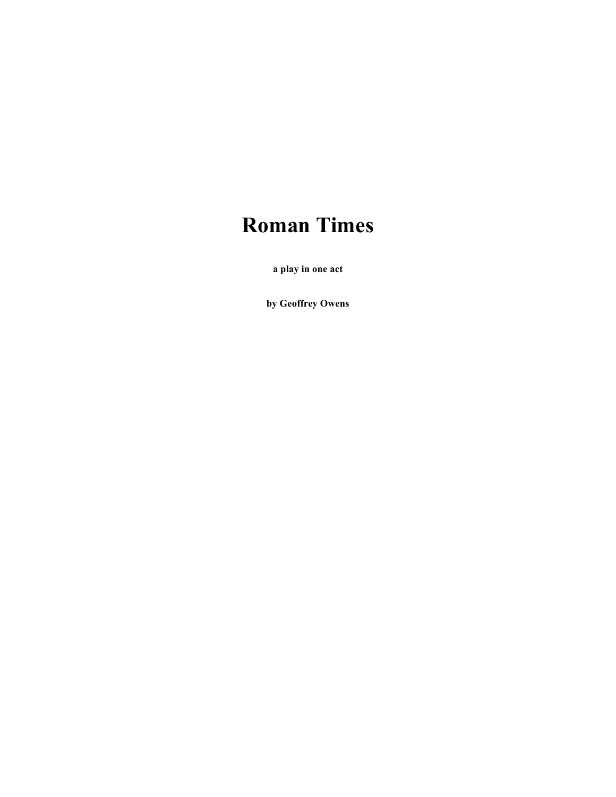# **Roman Times**

**a play in one act** 

**by Geoffrey Owens**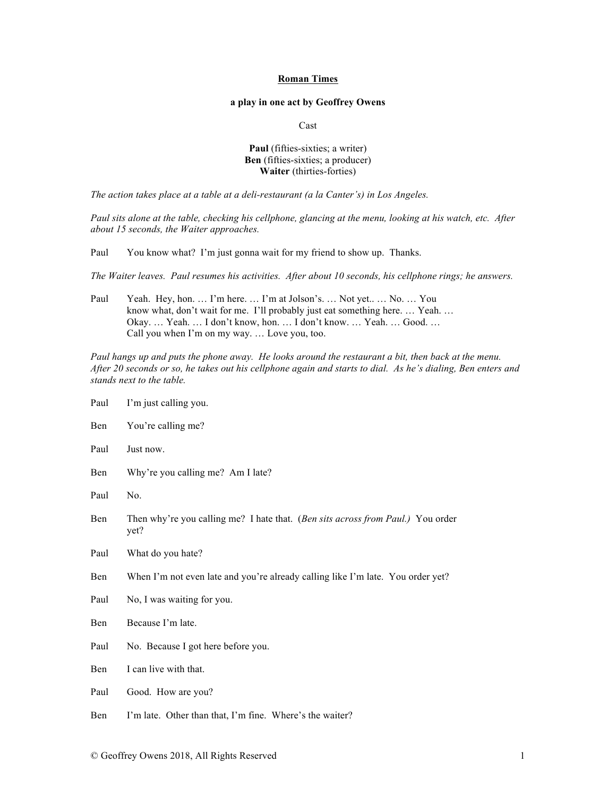### **Roman Times**

# **a play in one act by Geoffrey Owens**

Cast

# **Paul** (fifties-sixties; a writer) **Ben** (fifties-sixties; a producer) **Waiter** (thirties-forties)

*The action takes place at a table at a deli-restaurant (a la Canter's) in Los Angeles.*

*Paul sits alone at the table, checking his cellphone, glancing at the menu, looking at his watch, etc. After about 15 seconds, the Waiter approaches.*

Paul You know what? I'm just gonna wait for my friend to show up. Thanks.

*The Waiter leaves. Paul resumes his activities. After about 10 seconds, his cellphone rings; he answers.*

Paul Yeah. Hey, hon. ... I'm here. ... I'm at Jolson's. ... Not yet.. ... No. ... You know what, don't wait for me. I'll probably just eat something here. … Yeah. … Okay. … Yeah. … I don't know, hon. … I don't know. … Yeah. … Good. … Call you when I'm on my way. … Love you, too.

*Paul hangs up and puts the phone away. He looks around the restaurant a bit, then back at the menu. After 20 seconds or so, he takes out his cellphone again and starts to dial. As he's dialing, Ben enters and stands next to the table.*

| Paul | I'm just calling you.                                                                   |
|------|-----------------------------------------------------------------------------------------|
| Ben  | You're calling me?                                                                      |
| Paul | Just now.                                                                               |
| Ben  | Why're you calling me? Am I late?                                                       |
| Paul | No.                                                                                     |
| Ben  | Then why're you calling me? I hate that. (Ben sits across from Paul.) You order<br>yet? |
| Paul | What do you hate?                                                                       |
| Ben  | When I'm not even late and you're already calling like I'm late. You order yet?         |
| Paul | No, I was waiting for you.                                                              |
| Ben  | Because I'm late.                                                                       |
| Paul | No. Because I got here before you.                                                      |
| Ben  | I can live with that.                                                                   |
| Paul | Good. How are you?                                                                      |
|      |                                                                                         |

Ben I'm late. Other than that, I'm fine. Where's the waiter?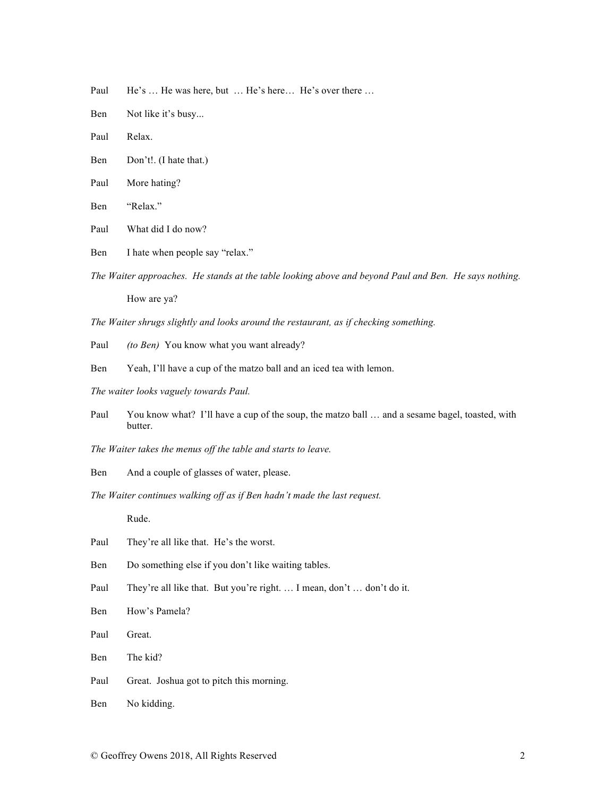Paul He's ... He was here, but ... He's here... He's over there ...

- Ben Not like it's busy...
- Paul Relax.
- Ben Don't!. (I hate that.)
- Paul More hating?
- Ben "Relax."
- Paul What did I do now?
- Ben I hate when people say "relax."
- *The Waiter approaches. He stands at the table looking above and beyond Paul and Ben. He says nothing.* How are ya?

*The Waiter shrugs slightly and looks around the restaurant, as if checking something.*

- Paul *(to Ben)* You know what you want already?
- Ben Yeah, I'll have a cup of the matzo ball and an iced tea with lemon.
- *The waiter looks vaguely towards Paul.*
- Paul You know what? I'll have a cup of the soup, the matzo ball ... and a sesame bagel, toasted, with butter.
- *The Waiter takes the menus off the table and starts to leave.*
- Ben And a couple of glasses of water, please.
- *The Waiter continues walking off as if Ben hadn't made the last request.*

Rude.

- Paul They're all like that. He's the worst.
- Ben Do something else if you don't like waiting tables.
- Paul They're all like that. But you're right. ... I mean, don't ... don't do it.
- Ben How's Pamela?
- Paul Great.
- Ben The kid?
- Paul Great. Joshua got to pitch this morning.
- Ben No kidding.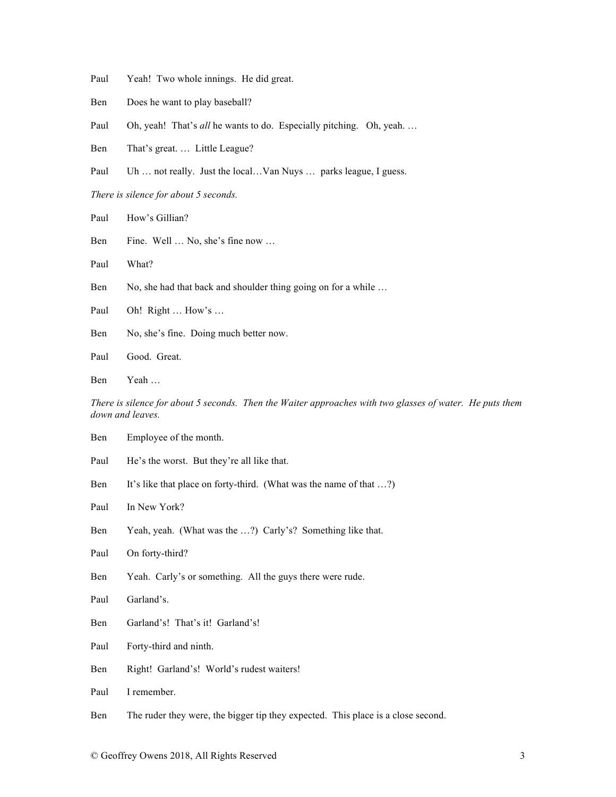- Paul Yeah! Two whole innings. He did great.
- Ben Does he want to play baseball?
- Paul Oh, yeah! That's *all* he wants to do. Especially pitching. Oh, yeah...
- Ben That's great. … Little League?
- Paul Uh ... not really. Just the local...Van Nuys ... parks league, I guess.

*There is silence for about 5 seconds.* 

- Paul How's Gillian?
- Ben Fine. Well … No, she's fine now …
- Paul What?
- Ben No, she had that back and shoulder thing going on for a while ...
- Paul Oh! Right ... How's ...
- Ben No, she's fine. Doing much better now.
- Paul Good. Great.
- Ben Yeah …

*There is silence for about 5 seconds. Then the Waiter approaches with two glasses of water. He puts them down and leaves.*

- Ben Employee of the month.
- Paul He's the worst. But they're all like that.
- Ben It's like that place on forty-third. (What was the name of that ...?)
- Paul In New York?
- Ben Yeah, yeah. (What was the ...?) Carly's? Something like that.
- Paul On forty-third?
- Ben Yeah. Carly's or something. All the guys there were rude.
- Paul Garland's.
- Ben Garland's! That's it! Garland's!
- Paul Forty-third and ninth.
- Ben Right! Garland's! World's rudest waiters!
- Paul I remember.
- Ben The ruder they were, the bigger tip they expected. This place is a close second.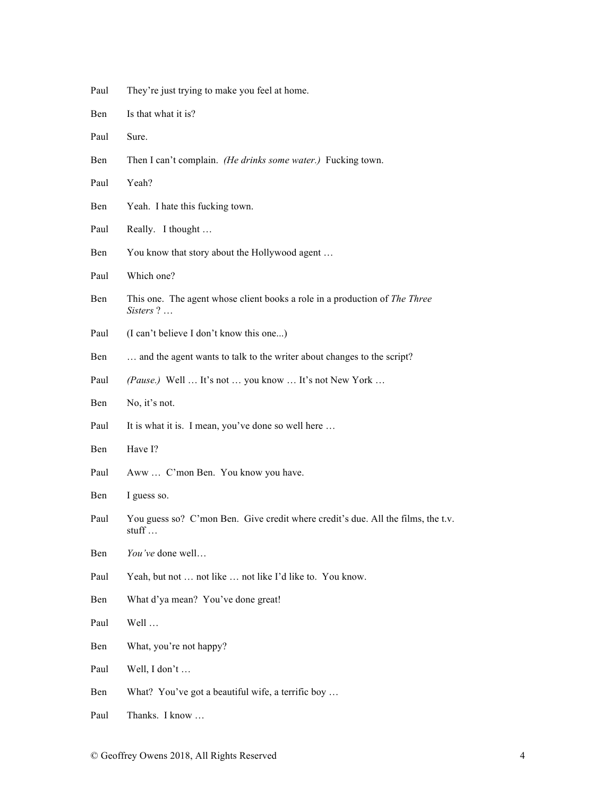| Paul | They're just trying to make you feel at home. |  |  |  |
|------|-----------------------------------------------|--|--|--|
|      |                                               |  |  |  |

- Ben Is that what it is?
- Paul Sure.
- Ben Then I can't complain. *(He drinks some water.)* Fucking town.
- Paul Yeah?
- Ben Yeah. I hate this fucking town.
- Paul Really. I thought ...
- Ben You know that story about the Hollywood agent ...
- Paul Which one?
- Ben This one. The agent whose client books a role in a production of *The Three Sisters* ? …
- Paul (I can't believe I don't know this one...)
- Ben ... and the agent wants to talk to the writer about changes to the script?
- Paul *(Pause.)* Well ... It's not ... you know ... It's not New York ...
- Ben No, it's not.
- Paul It is what it is. I mean, you've done so well here ...
- Ben Have I?
- Paul Aww … C'mon Ben. You know you have.
- Ben I guess so.
- Paul You guess so? C'mon Ben. Give credit where credit's due. All the films, the t.v. stuff …
- Ben *You've* done well…
- Paul Yeah, but not ... not like ... not like I'd like to. You know.
- Ben What d'ya mean? You've done great!
- Paul Well …
- Ben What, you're not happy?
- Paul Well, I don't …
- Ben What? You've got a beautiful wife, a terrific boy ...
- Paul Thanks. I know …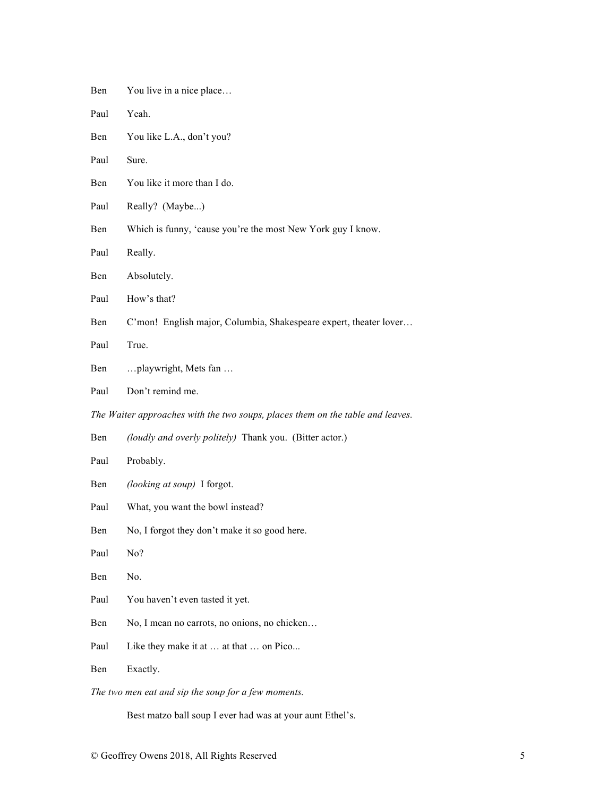- Ben You live in a nice place...
- Paul Yeah.
- Ben You like L.A., don't you?
- Paul Sure.
- Ben You like it more than I do.
- Paul Really? (Maybe...)
- Ben Which is funny, 'cause you're the most New York guy I know.
- Paul Really.
- Ben Absolutely.
- Paul How's that?
- Ben C'mon! English major, Columbia, Shakespeare expert, theater lover...
- Paul True.
- Ben …playwright, Mets fan …
- Paul Don't remind me.

*The Waiter approaches with the two soups, places them on the table and leaves.*

- Ben *(loudly and overly politely)* Thank you. (Bitter actor.)
- Paul Probably.
- Ben *(looking at soup)* I forgot.
- Paul What, you want the bowl instead?
- Ben No, I forgot they don't make it so good here.
- Paul No?
- Ben No.
- Paul You haven't even tasted it yet.
- Ben No, I mean no carrots, no onions, no chicken...
- Paul Like they make it at ... at that ... on Pico...
- Ben Exactly.

*The two men eat and sip the soup for a few moments.*

Best matzo ball soup I ever had was at your aunt Ethel's.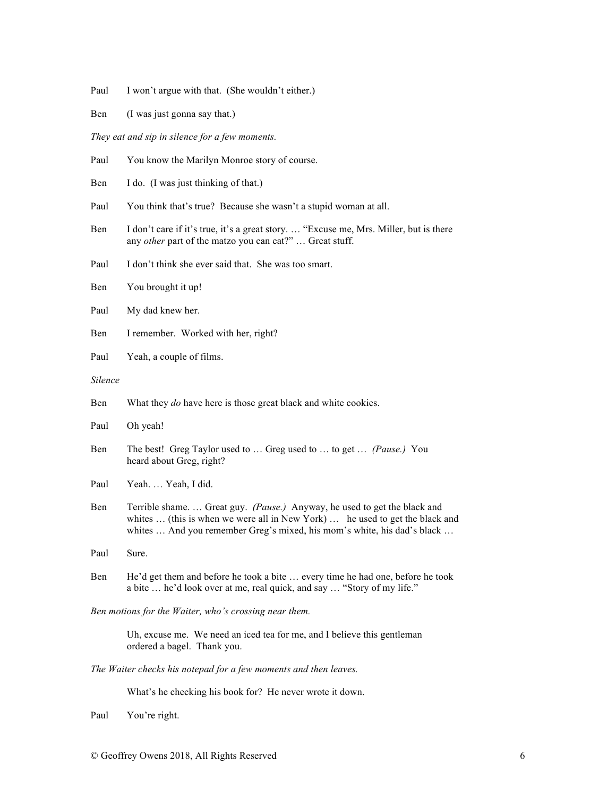- Paul I won't argue with that. (She wouldn't either.)
- Ben (I was just gonna say that.)

*They eat and sip in silence for a few moments.*

| Paul    | You know the Marilyn Monroe story of course.                                                                                                                                                                                         |
|---------|--------------------------------------------------------------------------------------------------------------------------------------------------------------------------------------------------------------------------------------|
| Ben     | I do. (I was just thinking of that.)                                                                                                                                                                                                 |
| Paul    | You think that's true? Because she wasn't a stupid woman at all.                                                                                                                                                                     |
| Ben     | I don't care if it's true, it's a great story.  "Excuse me, Mrs. Miller, but is there<br>any other part of the matzo you can eat?"  Great stuff.                                                                                     |
| Paul    | I don't think she ever said that. She was too smart.                                                                                                                                                                                 |
| Ben     | You brought it up!                                                                                                                                                                                                                   |
| Paul    | My dad knew her.                                                                                                                                                                                                                     |
| Ben     | I remember. Worked with her, right?                                                                                                                                                                                                  |
| Paul    | Yeah, a couple of films.                                                                                                                                                                                                             |
| Silence |                                                                                                                                                                                                                                      |
| Ben     | What they do have here is those great black and white cookies.                                                                                                                                                                       |
| Paul    | Oh yeah!                                                                                                                                                                                                                             |
| Ben     | The best! Greg Taylor used to  Greg used to  to get  (Pause.) You<br>heard about Greg, right?                                                                                                                                        |
| Paul    | Yeah.  Yeah, I did.                                                                                                                                                                                                                  |
| Ben     | Terrible shame.  Great guy. (Pause.) Anyway, he used to get the black and<br>whites  (this is when we were all in New York)  he used to get the black and<br>whites  And you remember Greg's mixed, his mom's white, his dad's black |
| Paul    | Sure.                                                                                                                                                                                                                                |
| Ben     | He'd get them and before he took a bite  every time he had one, before he took<br>a bite  he'd look over at me, real quick, and say  "Story of my life."                                                                             |
|         | Ben motions for the Waiter, who's crossing near them.                                                                                                                                                                                |
|         | Uh, excuse me. We need an iced tea for me, and I believe this gentleman<br>ordered a bagel. Thank you.                                                                                                                               |
|         | The Waiter checks his notepad for a few moments and then leaves.                                                                                                                                                                     |

What's he checking his book for? He never wrote it down.

Paul You're right.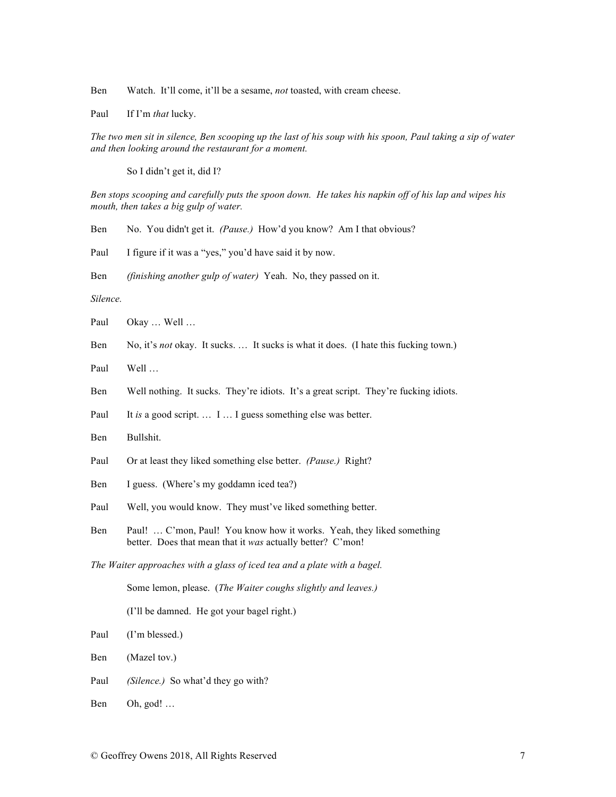Ben Watch. It'll come, it'll be a sesame, *not* toasted, with cream cheese.

Paul If I'm *that* lucky.

*The two men sit in silence, Ben scooping up the last of his soup with his spoon, Paul taking a sip of water and then looking around the restaurant for a moment.*

So I didn't get it, did I?

Ben stops scooping and carefully puts the spoon down. He takes his napkin off of his lap and wipes his *mouth, then takes a big gulp of water.*

| Ben |  |  | No. You didn't get it. (Pause.) How'd you know? Am I that obvious? |
|-----|--|--|--------------------------------------------------------------------|
|     |  |  |                                                                    |

Paul I figure if it was a "yes," you'd have said it by now.

Ben *(finishing another gulp of water)* Yeah. No, they passed on it.

*Silence.*

Paul Okay ... Well ...

- Ben No, it's *not* okay. It sucks. … It sucks is what it does. (I hate this fucking town.)
- Paul Well …
- Ben Well nothing. It sucks. They're idiots. It's a great script. They're fucking idiots.
- Paul It *is* a good script. ... I ... I guess something else was better.
- Ben Bullshit.
- Paul Or at least they liked something else better. *(Pause.)* Right?
- Ben I guess. (Where's my goddamn iced tea?)
- Paul Well, you would know. They must've liked something better.
- Ben Paul! ... C'mon, Paul! You know how it works. Yeah, they liked something better. Does that mean that it *was* actually better? C'mon!

*The Waiter approaches with a glass of iced tea and a plate with a bagel.*

Some lemon, please. (*The Waiter coughs slightly and leaves.)*

(I'll be damned. He got your bagel right.)

Paul (I'm blessed.)

- Ben (Mazel tov.)
- Paul *(Silence.)* So what'd they go with?
- Ben Oh, god! …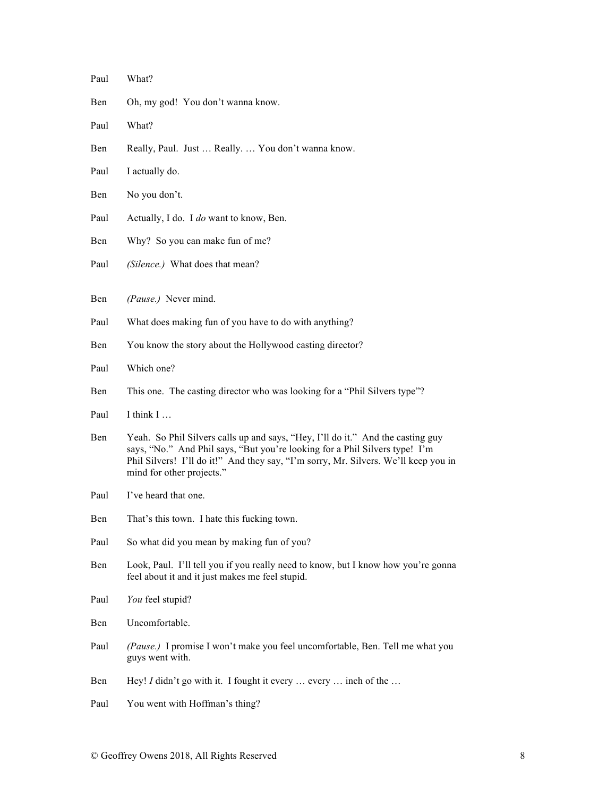| Paul | What?                                                                                                                                                                                                                                                                              |
|------|------------------------------------------------------------------------------------------------------------------------------------------------------------------------------------------------------------------------------------------------------------------------------------|
| Ben  | Oh, my god! You don't wanna know.                                                                                                                                                                                                                                                  |
| Paul | What?                                                                                                                                                                                                                                                                              |
| Ben  | Really, Paul. Just  Really.  You don't wanna know.                                                                                                                                                                                                                                 |
| Paul | I actually do.                                                                                                                                                                                                                                                                     |
| Ben  | No you don't.                                                                                                                                                                                                                                                                      |
| Paul | Actually, I do. I do want to know, Ben.                                                                                                                                                                                                                                            |
| Ben  | Why? So you can make fun of me?                                                                                                                                                                                                                                                    |
| Paul | (Silence.) What does that mean?                                                                                                                                                                                                                                                    |
| Ben  | (Pause.) Never mind.                                                                                                                                                                                                                                                               |
| Paul | What does making fun of you have to do with anything?                                                                                                                                                                                                                              |
| Ben  | You know the story about the Hollywood casting director?                                                                                                                                                                                                                           |
| Paul | Which one?                                                                                                                                                                                                                                                                         |
| Ben  | This one. The casting director who was looking for a "Phil Silvers type"?                                                                                                                                                                                                          |
| Paul | I think I                                                                                                                                                                                                                                                                          |
| Ben  | Yeah. So Phil Silvers calls up and says, "Hey, I'll do it." And the casting guy<br>says, "No." And Phil says, "But you're looking for a Phil Silvers type! I'm<br>Phil Silvers! I'll do it!" And they say, "I'm sorry, Mr. Silvers. We'll keep you in<br>mind for other projects." |
| Paul | I've heard that one.                                                                                                                                                                                                                                                               |
| Ben  | That's this town. I hate this fucking town.                                                                                                                                                                                                                                        |
| Paul | So what did you mean by making fun of you?                                                                                                                                                                                                                                         |
| Ben  | Look, Paul. I'll tell you if you really need to know, but I know how you're gonna<br>feel about it and it just makes me feel stupid.                                                                                                                                               |
| Paul | You feel stupid?                                                                                                                                                                                                                                                                   |
| Ben  | Uncomfortable.                                                                                                                                                                                                                                                                     |
| Paul | (Pause.) I promise I won't make you feel uncomfortable, Ben. Tell me what you<br>guys went with.                                                                                                                                                                                   |
| Ben  | Hey! I didn't go with it. I fought it every  every  inch of the                                                                                                                                                                                                                    |
| Paul | You went with Hoffman's thing?                                                                                                                                                                                                                                                     |
|      |                                                                                                                                                                                                                                                                                    |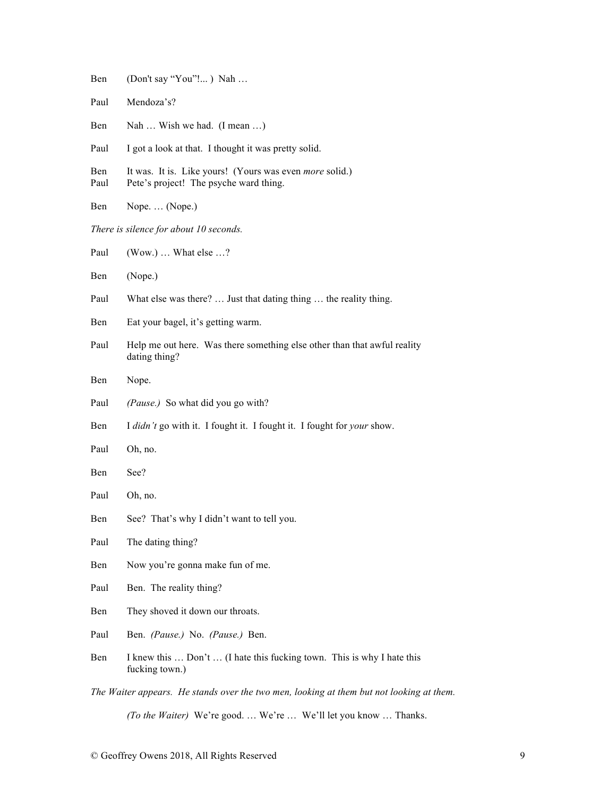| Ben         | (Don't say "You"!) Nah                                                                                   |
|-------------|----------------------------------------------------------------------------------------------------------|
| Paul        | Mendoza's?                                                                                               |
| Ben         | Nah  Wish we had. (I mean )                                                                              |
| Paul        | I got a look at that. I thought it was pretty solid.                                                     |
| Ben<br>Paul | It was. It is. Like yours! (Yours was even <i>more</i> solid.)<br>Pete's project! The psyche ward thing. |
| Ben         | Nope.  (Nope.)                                                                                           |
|             | There is silence for about 10 seconds.                                                                   |
| Paul        | $(Wow.) \dots$ What else $\dots$ ?                                                                       |
| Ben         | (Nope.)                                                                                                  |
| Paul        | What else was there?  Just that dating thing  the reality thing.                                         |
| Ben         | Eat your bagel, it's getting warm.                                                                       |
| Paul        | Help me out here. Was there something else other than that awful reality<br>dating thing?                |
| Ben         | Nope.                                                                                                    |
| Paul        | (Pause.) So what did you go with?                                                                        |
| Ben         | I didn't go with it. I fought it. I fought it. I fought for your show.                                   |
| Paul        | Oh, no.                                                                                                  |
| Ben         | See?                                                                                                     |
| Paul        | Oh, no.                                                                                                  |
| Ben         | See? That's why I didn't want to tell you.                                                               |
| Paul        | The dating thing?                                                                                        |
| Ben         | Now you're gonna make fun of me.                                                                         |
| Paul        | Ben. The reality thing?                                                                                  |
| Ben         | They shoved it down our throats.                                                                         |
| Paul        | Ben. (Pause.) No. (Pause.) Ben.                                                                          |
| Ben         | I knew this  Don't  (I hate this fucking town. This is why I hate this<br>fucking town.)                 |
|             | The Waiter appears. He stands over the two men, looking at them but not looking at them.                 |
|             | (To the Waiter) We're good.  We're  We'll let you know  Thanks.                                          |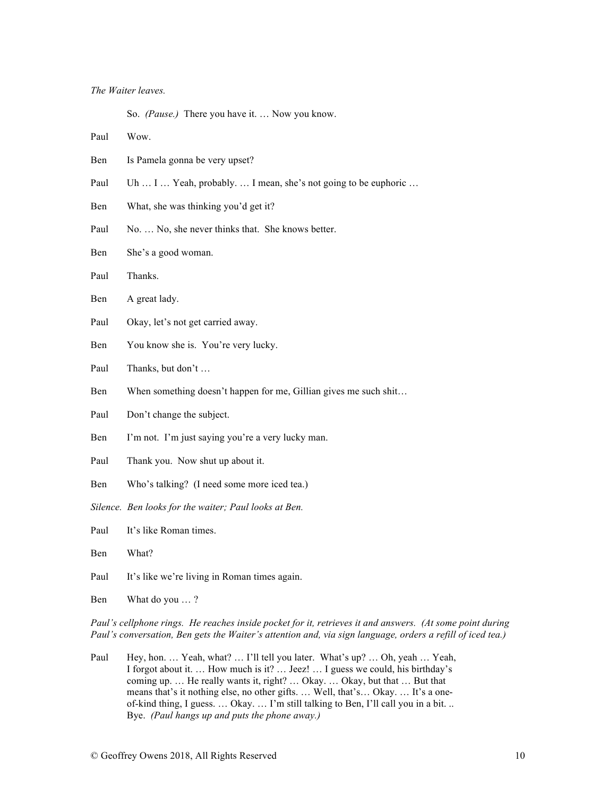### *The Waiter leaves.*

So. *(Pause.)* There you have it. … Now you know.

Paul Wow.

- Ben Is Pamela gonna be very upset?
- Paul Uh ... I ... Yeah, probably. ... I mean, she's not going to be euphoric ...
- Ben What, she was thinking you'd get it?
- Paul No. ... No, she never thinks that. She knows better.
- Ben She's a good woman.
- Paul Thanks.
- Ben A great lady.
- Paul Okay, let's not get carried away.
- Ben You know she is. You're very lucky.
- Paul Thanks, but don't ...
- Ben When something doesn't happen for me, Gillian gives me such shit...
- Paul Don't change the subject.
- Ben I'm not. I'm just saying you're a very lucky man.
- Paul Thank you. Now shut up about it.
- Ben Who's talking? (I need some more iced tea.)
- *Silence. Ben looks for the waiter; Paul looks at Ben.*
- Paul It's like Roman times.
- Ben What?
- Paul It's like we're living in Roman times again.
- Ben What do you … ?

*Paul's cellphone rings. He reaches inside pocket for it, retrieves it and answers. (At some point during Paul's conversation, Ben gets the Waiter's attention and, via sign language, orders a refill of iced tea.)*

Paul Hey, hon. ... Yeah, what? ... I'll tell you later. What's up? ... Oh, yeah ... Yeah, I forgot about it. … How much is it? … Jeez! … I guess we could, his birthday's coming up. … He really wants it, right? … Okay. … Okay, but that … But that means that's it nothing else, no other gifts. … Well, that's… Okay. … It's a oneof-kind thing, I guess. … Okay. … I'm still talking to Ben, I'll call you in a bit. .. Bye. *(Paul hangs up and puts the phone away.)*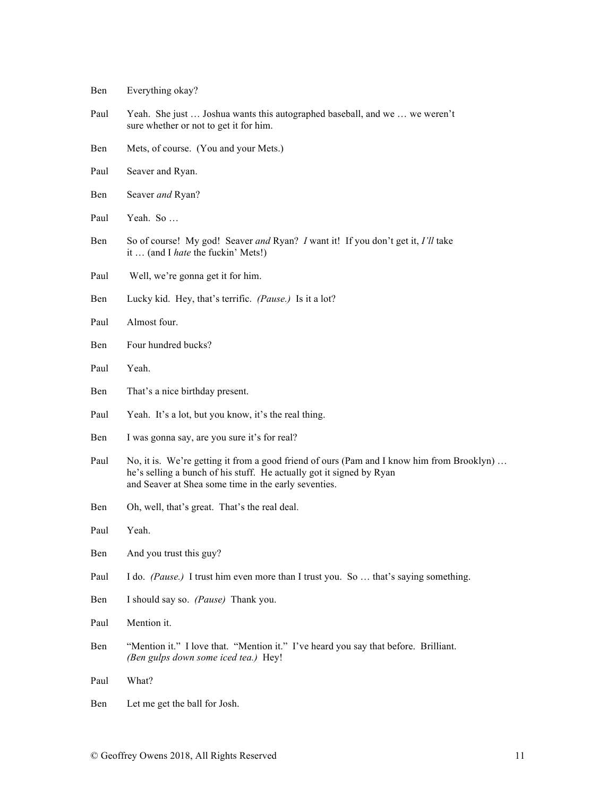- Ben Everything okay?
- Paul Yeah. She just … Joshua wants this autographed baseball, and we … we weren't sure whether or not to get it for him.
- Ben Mets, of course. (You and your Mets.)
- Paul Seaver and Ryan.
- Ben Seaver *and* Ryan?
- Paul Yeah. So …
- Ben So of course! My god! Seaver *and* Ryan? *I* want it! If you don't get it, *I'll* take it … (and I *hate* the fuckin' Mets!)
- Paul Well, we're gonna get it for him.
- Ben Lucky kid. Hey, that's terrific. *(Pause.)* Is it a lot?
- Paul Almost four.
- Ben Four hundred bucks?
- Paul Yeah.
- Ben That's a nice birthday present.
- Paul Yeah. It's a lot, but you know, it's the real thing.
- Ben I was gonna say, are you sure it's for real?
- Paul No, it is. We're getting it from a good friend of ours (Pam and I know him from Brooklyn) ... he's selling a bunch of his stuff. He actually got it signed by Ryan and Seaver at Shea some time in the early seventies.
- Ben Oh, well, that's great. That's the real deal.
- Paul Yeah.
- Ben And you trust this guy?
- Paul I do. *(Pause.)* I trust him even more than I trust you. So … that's saying something.
- Ben I should say so. *(Pause)* Thank you.
- Paul Mention it.
- Ben "Mention it." I love that. "Mention it." I've heard you say that before. Brilliant. *(Ben gulps down some iced tea.)* Hey!
- Paul What?
- Ben Let me get the ball for Josh.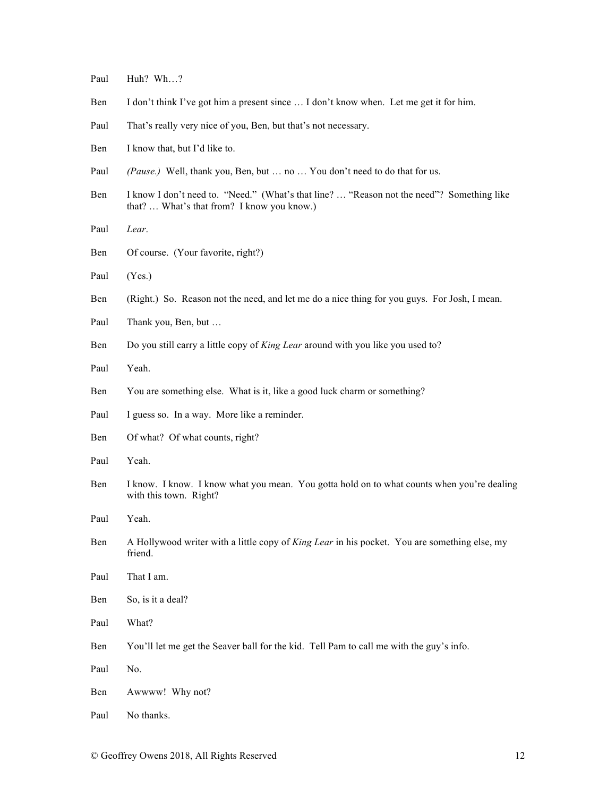- Paul Huh? Wh…?
- Ben I don't think I've got him a present since … I don't know when. Let me get it for him.
- Paul That's really very nice of you, Ben, but that's not necessary.
- Ben I know that, but I'd like to.
- Paul *(Pause.)* Well, thank you, Ben, but ... no ... You don't need to do that for us.
- Ben I know I don't need to. "Need." (What's that line? ... "Reason not the need"? Something like that? … What's that from? I know you know.)
- Paul *Lear*.
- Ben Of course. (Your favorite, right?)
- Paul (Yes.)
- Ben (Right.) So. Reason not the need, and let me do a nice thing for you guys. For Josh, I mean.
- Paul Thank you, Ben, but ...
- Ben Do you still carry a little copy of *King Lear* around with you like you used to?
- Paul Yeah.
- Ben You are something else. What is it, like a good luck charm or something?
- Paul I guess so. In a way. More like a reminder.
- Ben Of what? Of what counts, right?
- Paul Yeah.
- Ben I know. I know. I know what you mean. You gotta hold on to what counts when you're dealing with this town. Right?
- Paul Yeah.
- Ben A Hollywood writer with a little copy of *King Lear* in his pocket. You are something else, my friend.
- Paul That I am.
- Ben So, is it a deal?
- Paul What?
- Ben You'll let me get the Seaver ball for the kid. Tell Pam to call me with the guy's info.
- Paul No.
- Ben Awwww! Why not?
- Paul No thanks.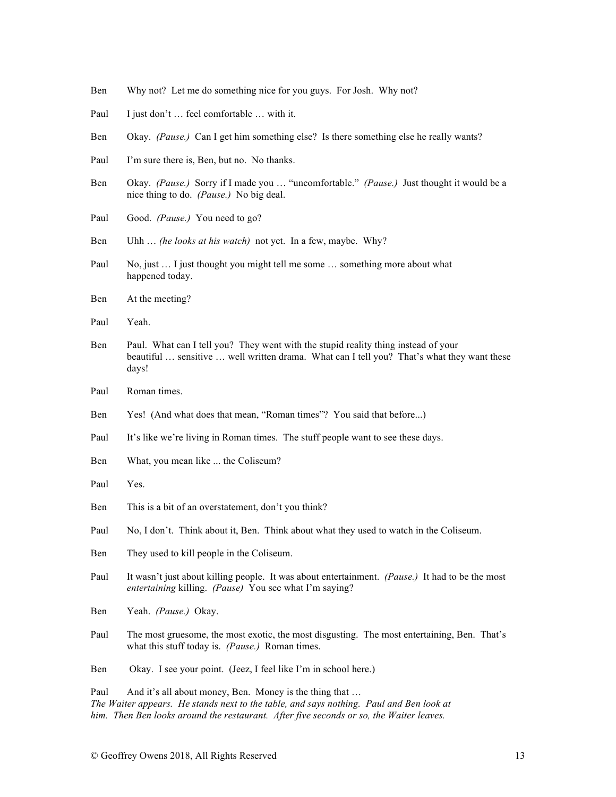- Ben Why not? Let me do something nice for you guys. For Josh. Why not?
- Paul I just don't ... feel comfortable ... with it.
- Ben Okay. *(Pause.)* Can I get him something else? Is there something else he really wants?
- Paul I'm sure there is, Ben, but no. No thanks.
- Ben Okay. *(Pause.)* Sorry if I made you … "uncomfortable." *(Pause.)* Just thought it would be a nice thing to do. *(Pause.)* No big deal.
- Paul Good. *(Pause.)* You need to go?
- Ben Uhh … *(he looks at his watch)* not yet. In a few, maybe. Why?
- Paul No, just ... I just thought you might tell me some ... something more about what happened today.
- Ben At the meeting?
- Paul Yeah.
- Ben Paul. What can I tell you? They went with the stupid reality thing instead of your beautiful … sensitive … well written drama. What can I tell you? That's what they want these days!
- Paul Roman times.
- Ben Yes! (And what does that mean, "Roman times"? You said that before...)
- Paul It's like we're living in Roman times. The stuff people want to see these days.
- Ben What, you mean like ... the Coliseum?
- Paul Yes.
- Ben This is a bit of an overstatement, don't you think?
- Paul No, I don't. Think about it, Ben. Think about what they used to watch in the Coliseum.
- Ben They used to kill people in the Coliseum.
- Paul It wasn't just about killing people. It was about entertainment. *(Pause.)* It had to be the most *entertaining* killing. *(Pause)* You see what I'm saying?
- Ben Yeah. *(Pause.)* Okay.
- Paul The most gruesome, the most exotic, the most disgusting. The most entertaining, Ben. That's what this stuff today is. *(Pause.)* Roman times.
- Ben Okay. I see your point. (Jeez, I feel like I'm in school here.)

Paul And it's all about money, Ben. Money is the thing that ... *The Waiter appears. He stands next to the table, and says nothing. Paul and Ben look at him. Then Ben looks around the restaurant. After five seconds or so, the Waiter leaves.*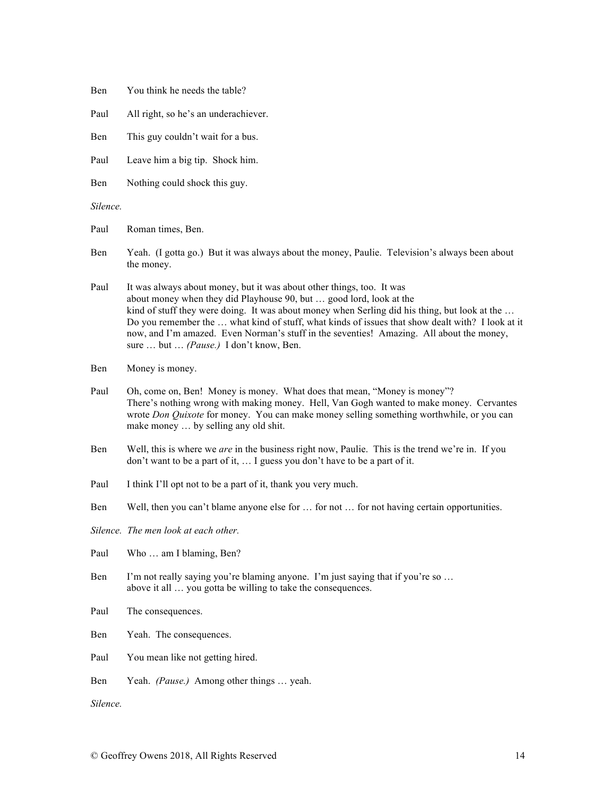| Ben |  |  |  |  |  | You think he needs the table? |
|-----|--|--|--|--|--|-------------------------------|
|-----|--|--|--|--|--|-------------------------------|

- Paul All right, so he's an underachiever.
- Ben This guy couldn't wait for a bus.
- Paul Leave him a big tip. Shock him.
- Ben Nothing could shock this guy.

*Silence.*

Paul Roman times, Ben.

Ben Yeah. (I gotta go.) But it was always about the money, Paulie. Television's always been about the money.

Paul It was always about money, but it was about other things, too. It was about money when they did Playhouse 90, but … good lord, look at the kind of stuff they were doing. It was about money when Serling did his thing, but look at the ... Do you remember the … what kind of stuff, what kinds of issues that show dealt with? I look at it now, and I'm amazed. Even Norman's stuff in the seventies! Amazing. All about the money, sure … but … *(Pause.)* I don't know, Ben.

Ben Money is money.

- Paul Oh, come on, Ben! Money is money. What does that mean, "Money is money"? There's nothing wrong with making money. Hell, Van Gogh wanted to make money. Cervantes wrote *Don Quixote* for money. You can make money selling something worthwhile, or you can make money … by selling any old shit.
- Ben Well, this is where we *are* in the business right now, Paulie. This is the trend we're in. If you don't want to be a part of it, … I guess you don't have to be a part of it.
- Paul I think I'll opt not to be a part of it, thank you very much.
- Ben Well, then you can't blame anyone else for … for not … for not having certain opportunities.
- *Silence. The men look at each other.*

Paul Who ... am I blaming, Ben?

- Ben I'm not really saying you're blaming anyone. I'm just saying that if you're so ... above it all … you gotta be willing to take the consequences.
- Paul The consequences.

Ben Yeah. The consequences.

- Paul You mean like not getting hired.
- Ben Yeah. *(Pause.)* Among other things … yeah.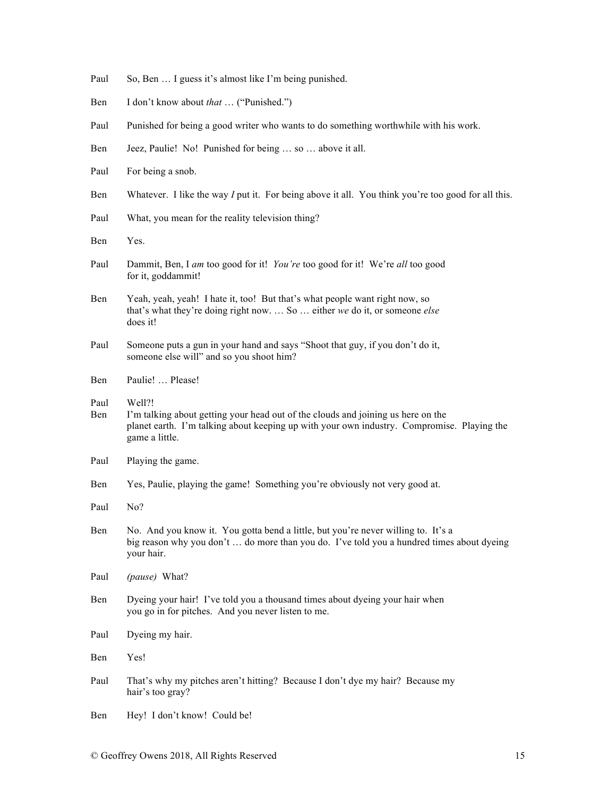- Paul So, Ben ... I guess it's almost like I'm being punished.
- Ben I don't know about *that* … ("Punished.")
- Paul Punished for being a good writer who wants to do something worthwhile with his work.
- Ben Jeez, Paulie! No! Punished for being … so … above it all.
- Paul For being a snob.
- Ben Whatever. I like the way *I* put it. For being above it all. You think you're too good for all this.
- Paul What, you mean for the reality television thing?
- Ben Yes.
- Paul Dammit, Ben, I *am* too good for it! *You're* too good for it! We're *all* too good for it, goddammit!
- Ben Yeah, yeah, yeah! I hate it, too! But that's what people want right now, so that's what they're doing right now. … So … either *we* do it, or someone *else*  does it!
- Paul Someone puts a gun in your hand and says "Shoot that guy, if you don't do it, someone else will" and so you shoot him?
- Ben Paulie! … Please!
- Paul Well?!
- Ben I'm talking about getting your head out of the clouds and joining us here on the planet earth. I'm talking about keeping up with your own industry. Compromise. Playing the game a little.
- Paul Playing the game.
- Ben Yes, Paulie, playing the game! Something you're obviously not very good at.
- Paul No?
- Ben No. And you know it. You gotta bend a little, but you're never willing to. It's a big reason why you don't … do more than you do. I've told you a hundred times about dyeing your hair.
- Paul *(pause)* What?
- Ben Dyeing your hair! I've told you a thousand times about dyeing your hair when you go in for pitches. And you never listen to me.
- Paul Dyeing my hair.
- Ben Yes!
- Paul That's why my pitches aren't hitting? Because I don't dye my hair? Because my hair's too gray?
- Ben Hey! I don't know! Could be!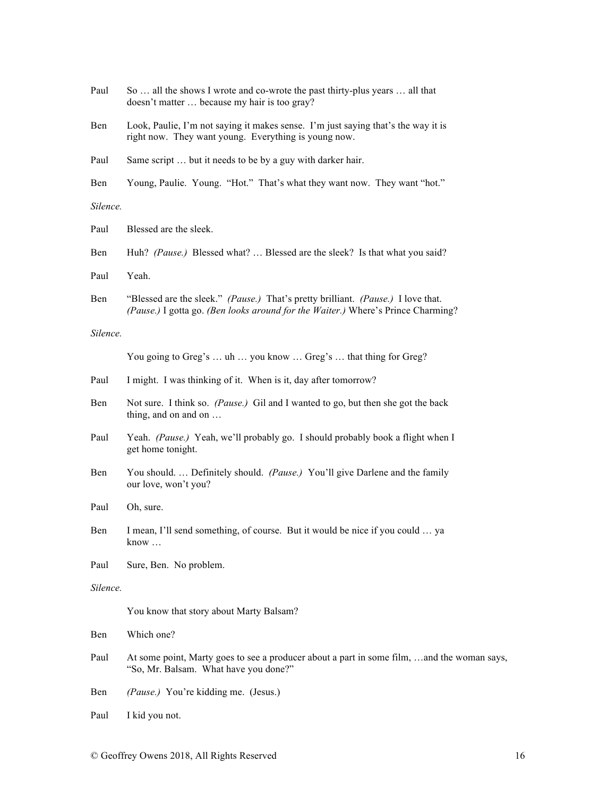| Paul     | So  all the shows I wrote and co-wrote the past thirty-plus years  all that<br>doesn't matter  because my hair is too gray?                                          |
|----------|----------------------------------------------------------------------------------------------------------------------------------------------------------------------|
| Ben      | Look, Paulie, I'm not saying it makes sense. I'm just saying that's the way it is<br>right now. They want young. Everything is young now.                            |
| Paul     | Same script  but it needs to be by a guy with darker hair.                                                                                                           |
| Ben      | Young, Paulie. Young. "Hot." That's what they want now. They want "hot."                                                                                             |
| Silence. |                                                                                                                                                                      |
| Paul     | Blessed are the sleek.                                                                                                                                               |
| Ben      | Huh? (Pause.) Blessed what?  Blessed are the sleek? Is that what you said?                                                                                           |
| Paul     | Yeah.                                                                                                                                                                |
| Ben      | "Blessed are the sleek." (Pause.) That's pretty brilliant. (Pause.) I love that.<br>(Pause.) I gotta go. (Ben looks around for the Waiter.) Where's Prince Charming? |
| Silence. |                                                                                                                                                                      |
|          | You going to Greg's  uh  you know  Greg's  that thing for Greg?                                                                                                      |
| Paul     | I might. I was thinking of it. When is it, day after tomorrow?                                                                                                       |
| Ben      | Not sure. I think so. (Pause.) Gil and I wanted to go, but then she got the back<br>thing, and on and on                                                             |
| Paul     | Yeah. (Pause.) Yeah, we'll probably go. I should probably book a flight when I<br>get home tonight.                                                                  |
| Ben      | You should.  Definitely should. (Pause.) You'll give Darlene and the family<br>our love, won't you?                                                                  |
| Paul     | Oh, sure.                                                                                                                                                            |
| Ben      | I mean, I'll send something, of course. But it would be nice if you could  ya<br>know                                                                                |
| Paul     | Sure, Ben. No problem.                                                                                                                                               |
| Silence. |                                                                                                                                                                      |
|          | You know that story about Marty Balsam?                                                                                                                              |
| Ben      | Which one?                                                                                                                                                           |
| Paul     | At some point, Marty goes to see a producer about a part in some film, and the woman says,<br>"So, Mr. Balsam. What have you done?"                                  |
| Ben      | (Pause.) You're kidding me. (Jesus.)                                                                                                                                 |
| Paul     | I kid you not.                                                                                                                                                       |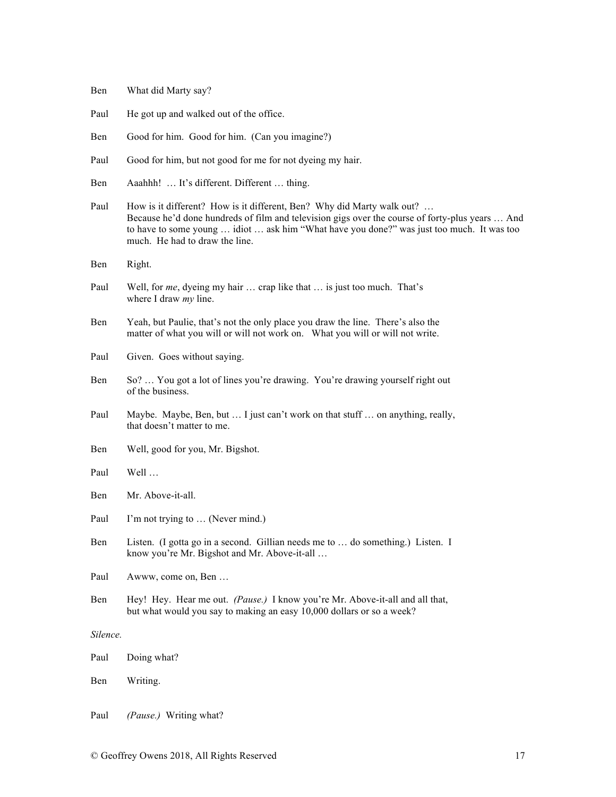- Ben What did Marty say?
- Paul He got up and walked out of the office.
- Ben Good for him. Good for him. (Can you imagine?)
- Paul Good for him, but not good for me for not dyeing my hair.
- Ben Aaahhh! … It's different. Different … thing.
- Paul How is it different? How is it different, Ben? Why did Marty walk out? ... Because he'd done hundreds of film and television gigs over the course of forty-plus years … And to have to some young … idiot … ask him "What have you done?" was just too much. It was too much. He had to draw the line.
- Ben Right.
- Paul Well, for *me*, dyeing my hair … crap like that … is just too much. That's where I draw *my* line.
- Ben Yeah, but Paulie, that's not the only place you draw the line. There's also the matter of what you will or will not work on. What you will or will not write.
- Paul Given. Goes without saying.
- Ben So? ... You got a lot of lines you're drawing. You're drawing yourself right out of the business.
- Paul Maybe. Maybe, Ben, but ... I just can't work on that stuff ... on anything, really, that doesn't matter to me.
- Ben Well, good for you, Mr. Bigshot.
- Paul Well …
- Ben Mr. Above-it-all.
- Paul I'm not trying to ... (Never mind.)
- Ben Listen. (I gotta go in a second. Gillian needs me to … do something.) Listen. I know you're Mr. Bigshot and Mr. Above-it-all …
- Paul Awww, come on, Ben …
- Ben Hey! Hey. Hear me out. *(Pause.)* I know you're Mr. Above-it-all and all that, but what would you say to making an easy 10,000 dollars or so a week?

| Paul | Doing what? |
|------|-------------|
|------|-------------|

- Ben Writing.
- Paul *(Pause.)* Writing what?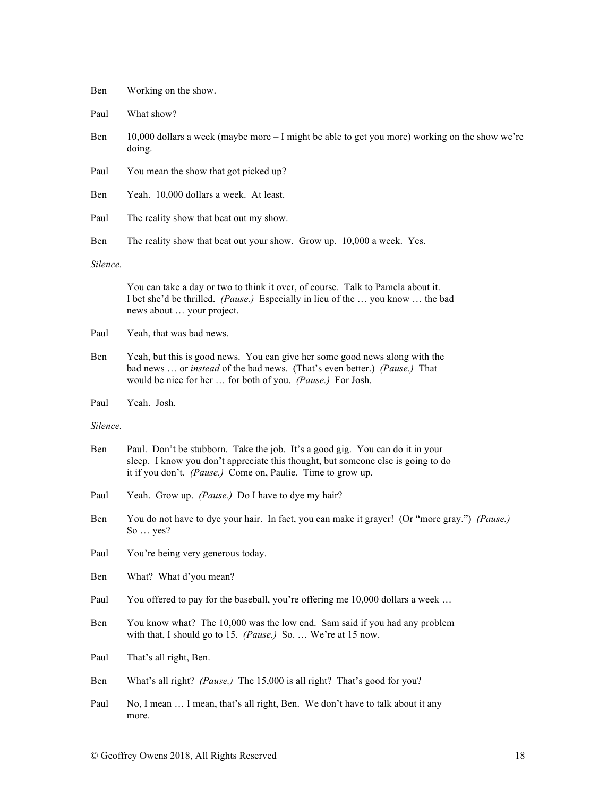| Ben | Working on the show. |  |  |  |
|-----|----------------------|--|--|--|
|-----|----------------------|--|--|--|

Paul What show?

Ben 10,000 dollars a week (maybe more – I might be able to get you more) working on the show we're doing.

- Paul You mean the show that got picked up?
- Ben Yeah. 10,000 dollars a week. At least.
- Paul The reality show that beat out my show.
- Ben The reality show that beat out your show. Grow up. 10,000 a week. Yes.

## *Silence.*

You can take a day or two to think it over, of course. Talk to Pamela about it. I bet she'd be thrilled. *(Pause.)* Especially in lieu of the … you know … the bad news about … your project.

- Paul Yeah, that was bad news.
- Ben Yeah, but this is good news. You can give her some good news along with the bad news … or *instead* of the bad news. (That's even better.) *(Pause.)* That would be nice for her … for both of you. *(Pause.)* For Josh.
- Paul Yeah. Josh.

- Ben Paul. Don't be stubborn. Take the job. It's a good gig. You can do it in your sleep. I know you don't appreciate this thought, but someone else is going to do it if you don't. *(Pause.)* Come on, Paulie. Time to grow up.
- Paul Yeah. Grow up. *(Pause.)* Do I have to dye my hair?
- Ben You do not have to dye your hair. In fact, you can make it grayer! (Or "more gray.") *(Pause.)* So … yes?
- Paul You're being very generous today.
- Ben What? What d'you mean?
- Paul You offered to pay for the baseball, you're offering me 10,000 dollars a week ...
- Ben You know what? The 10,000 was the low end. Sam said if you had any problem with that, I should go to 15. *(Pause.)* So. … We're at 15 now.
- Paul That's all right, Ben.
- Ben What's all right? *(Pause.)* The 15,000 is all right? That's good for you?
- Paul No, I mean ... I mean, that's all right, Ben. We don't have to talk about it any more.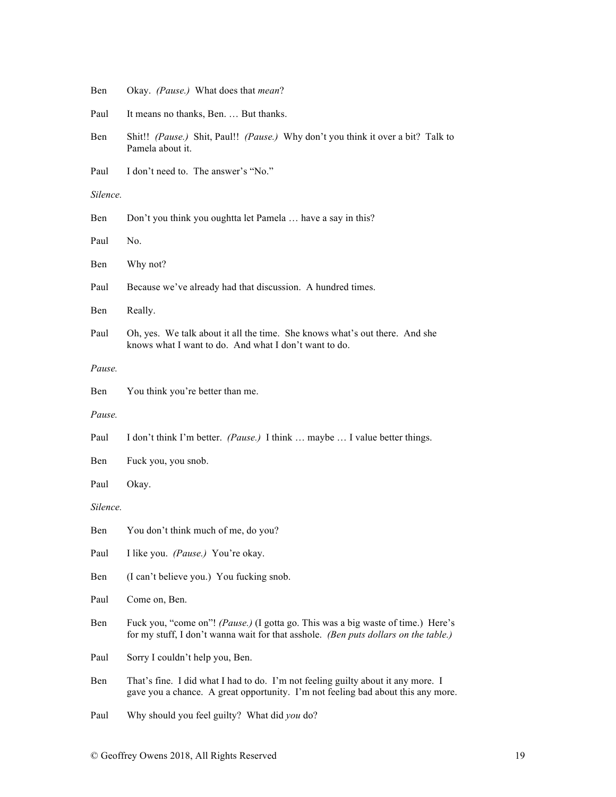| Ben      | Okay. (Pause.) What does that mean?                                                                                                                                     |
|----------|-------------------------------------------------------------------------------------------------------------------------------------------------------------------------|
| Paul     | It means no thanks, Ben.  But thanks.                                                                                                                                   |
| Ben      | Shit!! (Pause.) Shit, Paul!! (Pause.) Why don't you think it over a bit? Talk to<br>Pamela about it.                                                                    |
| Paul     | I don't need to. The answer's "No."                                                                                                                                     |
| Silence. |                                                                                                                                                                         |
| Ben      | Don't you think you oughtta let Pamela  have a say in this?                                                                                                             |
| Paul     | No.                                                                                                                                                                     |
| Ben      | Why not?                                                                                                                                                                |
| Paul     | Because we've already had that discussion. A hundred times.                                                                                                             |
| Ben      | Really.                                                                                                                                                                 |
| Paul     | Oh, yes. We talk about it all the time. She knows what's out there. And she<br>knows what I want to do. And what I don't want to do.                                    |
| Pause.   |                                                                                                                                                                         |
| Ben      | You think you're better than me.                                                                                                                                        |
| Pause.   |                                                                                                                                                                         |
| Paul     | I don't think I'm better. (Pause.) I think  maybe  I value better things.                                                                                               |
| Ben      | Fuck you, you snob.                                                                                                                                                     |
| Paul     | Okay.                                                                                                                                                                   |
| Silence. |                                                                                                                                                                         |
| Ben      | You don't think much of me, do you?                                                                                                                                     |
| Paul     | I like you. (Pause.) You're okay.                                                                                                                                       |
| Ben      | (I can't believe you.) You fucking snob.                                                                                                                                |
| Paul     | Come on, Ben.                                                                                                                                                           |
| Ben      | Fuck you, "come on"! (Pause.) (I gotta go. This was a big waste of time.) Here's<br>for my stuff, I don't wanna wait for that asshole. (Ben puts dollars on the table.) |
| Paul     | Sorry I couldn't help you, Ben.                                                                                                                                         |
| Ben      | That's fine. I did what I had to do. I'm not feeling guilty about it any more. I<br>gave you a chance. A great opportunity. I'm not feeling bad about this any more.    |
| Paul     | Why should you feel guilty? What did you do?                                                                                                                            |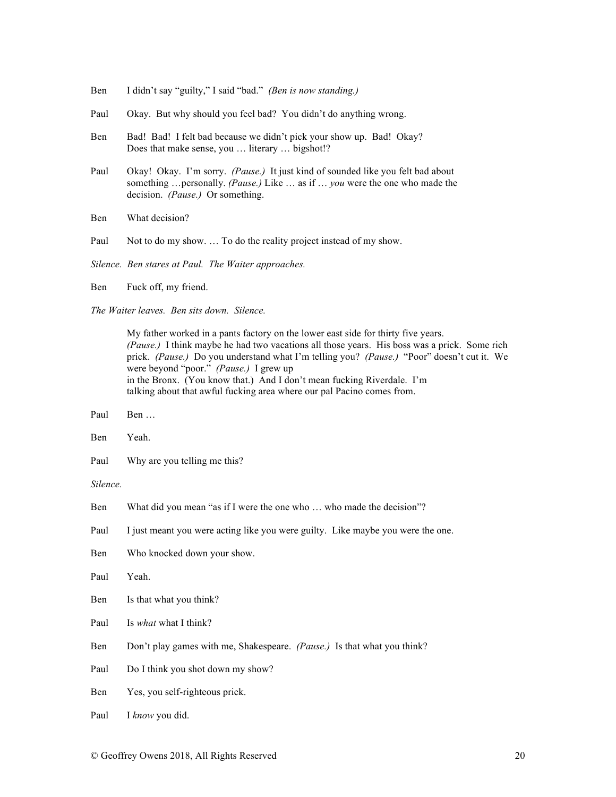- Ben I didn't say "guilty," I said "bad." *(Ben is now standing.)*
- Paul Okay. But why should you feel bad? You didn't do anything wrong.
- Ben Bad! Bad! I felt bad because we didn't pick your show up. Bad! Okay? Does that make sense, you … literary … bigshot!?
- Paul Okay! Okay. I'm sorry. *(Pause.)* It just kind of sounded like you felt bad about something …personally. *(Pause.)* Like … as if … *you* were the one who made the decision. *(Pause.)* Or something.
- Ben What decision?
- Paul Not to do my show. ... To do the reality project instead of my show.

*Silence. Ben stares at Paul. The Waiter approaches.*

Ben Fuck off, my friend.

*The Waiter leaves. Ben sits down. Silence.*

My father worked in a pants factory on the lower east side for thirty five years. *(Pause.)* I think maybe he had two vacations all those years. His boss was a prick. Some rich prick. *(Pause.)* Do you understand what I'm telling you? *(Pause.)* "Poor" doesn't cut it. We were beyond "poor." *(Pause.)* I grew up in the Bronx. (You know that.) And I don't mean fucking Riverdale. I'm talking about that awful fucking area where our pal Pacino comes from.

- Paul Ben …
- Ben Yeah.
- Paul Why are you telling me this?

- Ben What did you mean "as if I were the one who ... who made the decision"?
- Paul I just meant you were acting like you were guilty. Like maybe you were the one.
- Ben Who knocked down your show.
- Paul Yeah.
- Ben Is that what you think?
- Paul Is *what* what I think?
- Ben Don't play games with me, Shakespeare. *(Pause.)* Is that what you think?
- Paul Do I think you shot down my show?
- Ben Yes, you self-righteous prick.
- Paul I *know* you did.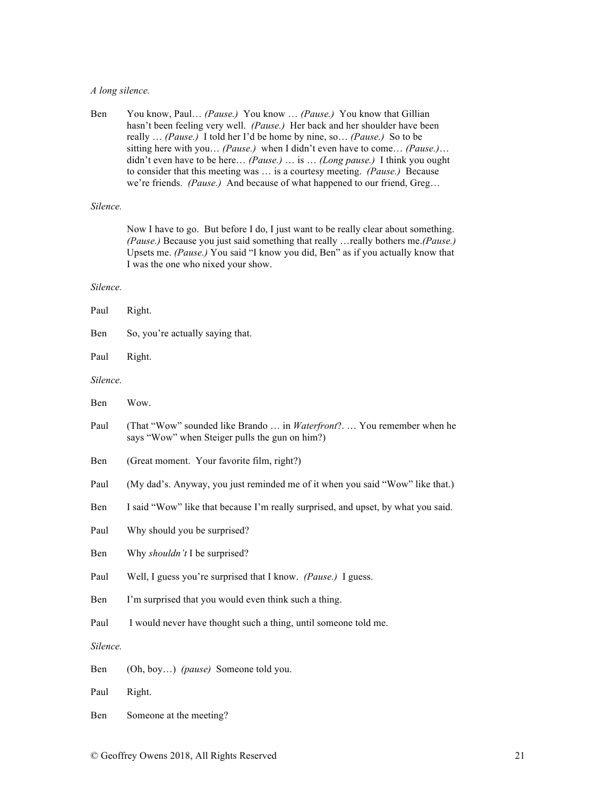# *A long silence.*

| Ben | You know, Paul <i>(Pause.)</i> You know <i>(Pause.)</i> You know that Gillian      |
|-----|------------------------------------------------------------------------------------|
|     | hasn't been feeling very well. (Pause.) Her back and her shoulder have been        |
|     | really <i>(Pause.)</i> I told her I'd be home by nine, so <i>(Pause.)</i> So to be |
|     | sitting here with you (Pause.) when I didn't even have to come (Pause.)            |
|     | didn't even have to be here (Pause.)  is  (Long pause.) I think you ought          |
|     | to consider that this meeting was  is a courtesy meeting. <i>(Pause.)</i> Because  |
|     | we're friends. <i>(Pause.)</i> And because of what happened to our friend, Greg    |
|     |                                                                                    |

# *Silence.*

Now I have to go. But before I do, I just want to be really clear about something. *(Pause.)* Because you just said something that really …really bothers me.*(Pause.)* Upsets me. *(Pause.)* You said "I know you did, Ben" as if you actually know that I was the one who nixed your show.

| Paul     | Right.                                                                                                                         |  |
|----------|--------------------------------------------------------------------------------------------------------------------------------|--|
| Ben      | So, you're actually saying that.                                                                                               |  |
| Paul     | Right.                                                                                                                         |  |
| Silence. |                                                                                                                                |  |
| Ben      | Wow.                                                                                                                           |  |
| Paul     | (That "Wow" sounded like Brando  in <i>Waterfront</i> ? You remember when he<br>says "Wow" when Steiger pulls the gun on him?) |  |
| Ben      | (Great moment. Your favorite film, right?)                                                                                     |  |
| Paul     | (My dad's. Anyway, you just reminded me of it when you said "Wow" like that.)                                                  |  |
| Ben      | I said "Wow" like that because I'm really surprised, and upset, by what you said.                                              |  |
| Paul     | Why should you be surprised?                                                                                                   |  |
| Ben      | Why shouldn't I be surprised?                                                                                                  |  |
| Paul     | Well, I guess you're surprised that I know. <i>(Pause.)</i> I guess.                                                           |  |
| Ben      | I'm surprised that you would even think such a thing.                                                                          |  |
| Paul     | I would never have thought such a thing, until someone told me.                                                                |  |
| Silence. |                                                                                                                                |  |
| Ben      | (Oh, boy) (pause) Someone told you.                                                                                            |  |
| Paul     | Right.                                                                                                                         |  |
| Ben      | Someone at the meeting?                                                                                                        |  |
|          |                                                                                                                                |  |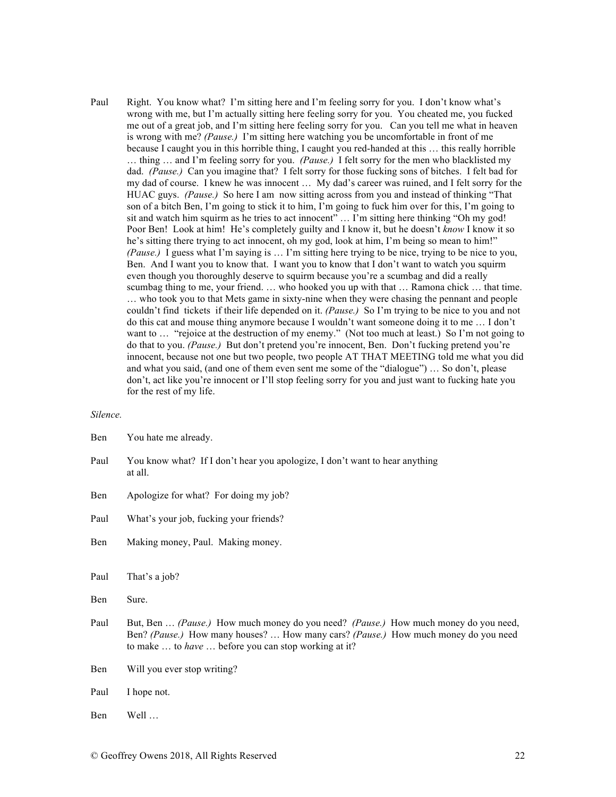Paul Right. You know what? I'm sitting here and I'm feeling sorry for you. I don't know what's wrong with me, but I'm actually sitting here feeling sorry for you. You cheated me, you fucked me out of a great job, and I'm sitting here feeling sorry for you. Can you tell me what in heaven is wrong with me? *(Pause.)* I'm sitting here watching you be uncomfortable in front of me because I caught you in this horrible thing, I caught you red-handed at this … this really horrible … thing … and I'm feeling sorry for you. *(Pause.)* I felt sorry for the men who blacklisted my dad. *(Pause.)* Can you imagine that? I felt sorry for those fucking sons of bitches. I felt bad for my dad of course. I knew he was innocent … My dad's career was ruined, and I felt sorry for the HUAC guys. *(Pause.)* So here I am now sitting across from you and instead of thinking "That son of a bitch Ben, I'm going to stick it to him, I'm going to fuck him over for this, I'm going to sit and watch him squirm as he tries to act innocent" … I'm sitting here thinking "Oh my god! Poor Ben! Look at him! He's completely guilty and I know it, but he doesn't *know* I know it so he's sitting there trying to act innocent, oh my god, look at him, I'm being so mean to him!" *(Pause.)* I guess what I'm saying is … I'm sitting here trying to be nice, trying to be nice to you, Ben. And I want you to know that. I want you to know that I don't want to watch you squirm even though you thoroughly deserve to squirm because you're a scumbag and did a really scumbag thing to me, your friend. … who hooked you up with that … Ramona chick … that time. … who took you to that Mets game in sixty-nine when they were chasing the pennant and people couldn't find tickets if their life depended on it. *(Pause.)* So I'm trying to be nice to you and not do this cat and mouse thing anymore because I wouldn't want someone doing it to me … I don't want to ... "rejoice at the destruction of my enemy." (Not too much at least.) So I'm not going to do that to you. *(Pause.)* But don't pretend you're innocent, Ben. Don't fucking pretend you're innocent, because not one but two people, two people AT THAT MEETING told me what you did and what you said, (and one of them even sent me some of the "dialogue") … So don't, please don't, act like you're innocent or I'll stop feeling sorry for you and just want to fucking hate you for the rest of my life.

| Ben  | You hate me already.                                                                                                                                                                                                              |
|------|-----------------------------------------------------------------------------------------------------------------------------------------------------------------------------------------------------------------------------------|
| Paul | You know what? If I don't hear you apologize, I don't want to hear anything<br>at all.                                                                                                                                            |
| Ben  | Apologize for what? For doing my job?                                                                                                                                                                                             |
| Paul | What's your job, fucking your friends?                                                                                                                                                                                            |
| Ben  | Making money, Paul. Making money.                                                                                                                                                                                                 |
| Paul | That's a job?                                                                                                                                                                                                                     |
| Ben  | Sure.                                                                                                                                                                                                                             |
| Paul | But, Ben  (Pause.) How much money do you need? (Pause.) How much money do you need,<br>Ben? (Pause.) How many houses?  How many cars? (Pause.) How much money do you need<br>to make  to have  before you can stop working at it? |
| Ben  | Will you ever stop writing?                                                                                                                                                                                                       |
| Paul | I hope not.                                                                                                                                                                                                                       |
| Ben  | Well                                                                                                                                                                                                                              |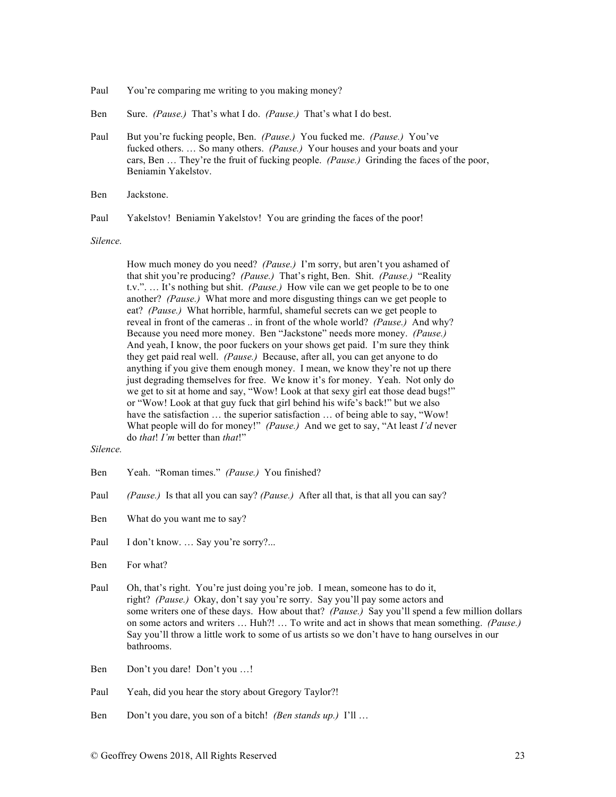- Paul You're comparing me writing to you making money?
- Ben Sure. *(Pause.)* That's what I do. *(Pause.)* That's what I do best.
- Paul But you're fucking people, Ben. *(Pause.)* You fucked me. *(Pause.)* You've fucked others. … So many others. *(Pause.)* Your houses and your boats and your cars, Ben … They're the fruit of fucking people. *(Pause.)* Grinding the faces of the poor, Beniamin Yakelstov.
- Ben Jackstone.
- Paul Yakelstov! Beniamin Yakelstov! You are grinding the faces of the poor!

*Silence.*

How much money do you need? *(Pause.)* I'm sorry, but aren't you ashamed of that shit you're producing? *(Pause.)* That's right, Ben. Shit. *(Pause.)* "Reality t.v.". … It's nothing but shit. *(Pause.)* How vile can we get people to be to one another? *(Pause.)* What more and more disgusting things can we get people to eat? *(Pause.)* What horrible, harmful, shameful secrets can we get people to reveal in front of the cameras .. in front of the whole world? *(Pause.)* And why? Because you need more money. Ben "Jackstone" needs more money. *(Pause.)* And yeah, I know, the poor fuckers on your shows get paid. I'm sure they think they get paid real well. *(Pause.)* Because, after all, you can get anyone to do anything if you give them enough money. I mean, we know they're not up there just degrading themselves for free. We know it's for money. Yeah. Not only do we get to sit at home and say, "Wow! Look at that sexy girl eat those dead bugs!" or "Wow! Look at that guy fuck that girl behind his wife's back!" but we also have the satisfaction ... the superior satisfaction ... of being able to say, "Wow! What people will do for money!" *(Pause.)* And we get to say, "At least *I'd* never do *that*! *I'm* better than *that*!"

- Ben Yeah. "Roman times." *(Pause.)* You finished?
- Paul *(Pause.)* Is that all you can say? *(Pause.)* After all that, is that all you can say?
- Ben What do you want me to say?
- Paul I don't know. ... Say you're sorry?...
- Ben For what?
- Paul Oh, that's right. You're just doing you're job. I mean, someone has to do it, right? *(Pause.)* Okay, don't say you're sorry. Say you'll pay some actors and some writers one of these days. How about that? *(Pause.)* Say you'll spend a few million dollars on some actors and writers … Huh?! … To write and act in shows that mean something. *(Pause.)* Say you'll throw a little work to some of us artists so we don't have to hang ourselves in our bathrooms.
- Ben Don't you dare! Don't you …!
- Paul Yeah, did you hear the story about Gregory Taylor?!
- Ben Don't you dare, you son of a bitch! *(Ben stands up.)* I'll …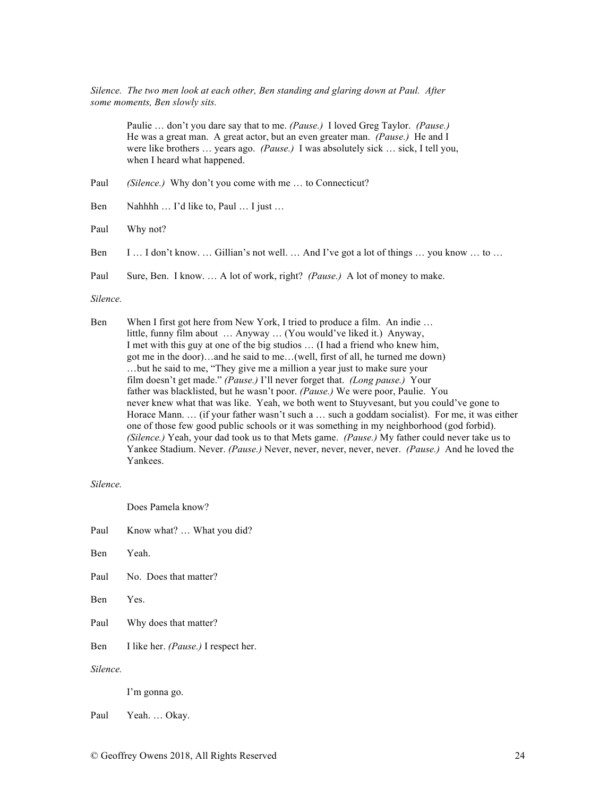*Silence. The two men look at each other, Ben standing and glaring down at Paul. After some moments, Ben slowly sits.*

> Paulie … don't you dare say that to me. *(Pause.)* I loved Greg Taylor. *(Pause.)* He was a great man. A great actor, but an even greater man. *(Pause.)* He and I were like brothers … years ago. *(Pause.)* I was absolutely sick … sick, I tell you, when I heard what happened.

Paul *(Silence.)* Why don't you come with me ... to Connecticut?

Ben Nahhhh … I'd like to, Paul … I just …

Paul Why not?

Ben I … I don't know. … Gillian's not well. … And I've got a lot of things … you know … to …

Paul Sure, Ben. I know. … A lot of work, right? *(Pause.)* A lot of money to make.

# *Silence.*

Ben When I first got here from New York, I tried to produce a film. An indie ... little, funny film about … Anyway … (You would've liked it.) Anyway, I met with this guy at one of the big studios … (I had a friend who knew him, got me in the door)…and he said to me…(well, first of all, he turned me down) …but he said to me, "They give me a million a year just to make sure your film doesn't get made." *(Pause.)* I'll never forget that. *(Long pause.)* Your father was blacklisted, but he wasn't poor. *(Pause.)* We were poor, Paulie. You never knew what that was like. Yeah, we both went to Stuyvesant, but you could've gone to Horace Mann. ... (if your father wasn't such a ... such a goddam socialist). For me, it was either one of those few good public schools or it was something in my neighborhood (god forbid). *(Silence.)* Yeah, your dad took us to that Mets game. *(Pause.)* My father could never take us to Yankee Stadium. Never. *(Pause.)* Never, never, never, never, never. *(Pause.)* And he loved the Yankees.

# *Silence.*

Does Pamela know?

Paul Know what? ... What you did?

Ben Yeah.

- Paul No. Does that matter?
- Ben Yes.

Paul Why does that matter?

Ben I like her. *(Pause.)* I respect her.

*Silence.*

I'm gonna go.

Paul Yeah. … Okay.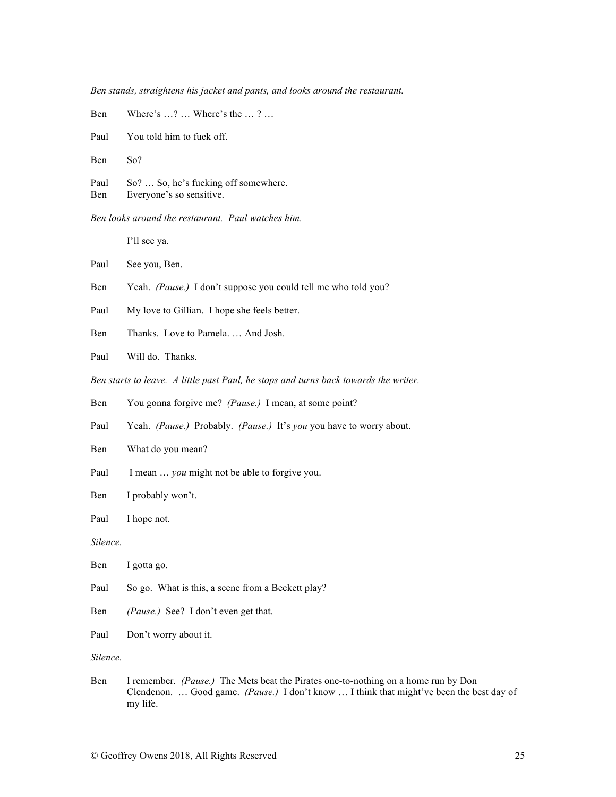*Ben stands, straightens his jacket and pants, and looks around the restaurant.*

| Ben         | Where's $\dots$ ? $\dots$ Where's the $\dots$ ? $\dots$          |
|-------------|------------------------------------------------------------------|
|             | Paul You told him to fuck off.                                   |
| Ben         | So?                                                              |
| Paul<br>Ben | So?  So, he's fucking off somewhere.<br>Everyone's so sensitive. |

*Ben looks around the restaurant. Paul watches him.*

I'll see ya.

Paul See you, Ben.

Ben Yeah. *(Pause.)* I don't suppose you could tell me who told you?

Paul My love to Gillian. I hope she feels better.

Ben Thanks. Love to Pamela. … And Josh.

Paul Will do. Thanks.

*Ben starts to leave. A little past Paul, he stops and turns back towards the writer.*

Ben You gonna forgive me? *(Pause.)* I mean, at some point?

Paul Yeah. *(Pause.)* Probably. *(Pause.)* It's *you* you have to worry about.

Ben What do you mean?

- Paul I mean ... *you* might not be able to forgive you.
- Ben I probably won't.
- Paul I hope not.

*Silence.*

| <b>B</b> en | I gotta go. |
|-------------|-------------|
|-------------|-------------|

- Paul So go. What is this, a scene from a Beckett play?
- Ben *(Pause.)* See? I don't even get that.
- Paul Don't worry about it.

*Silence.*

Ben I remember. *(Pause.)* The Mets beat the Pirates one-to-nothing on a home run by Don Clendenon. … Good game. *(Pause.)* I don't know … I think that might've been the best day of my life.